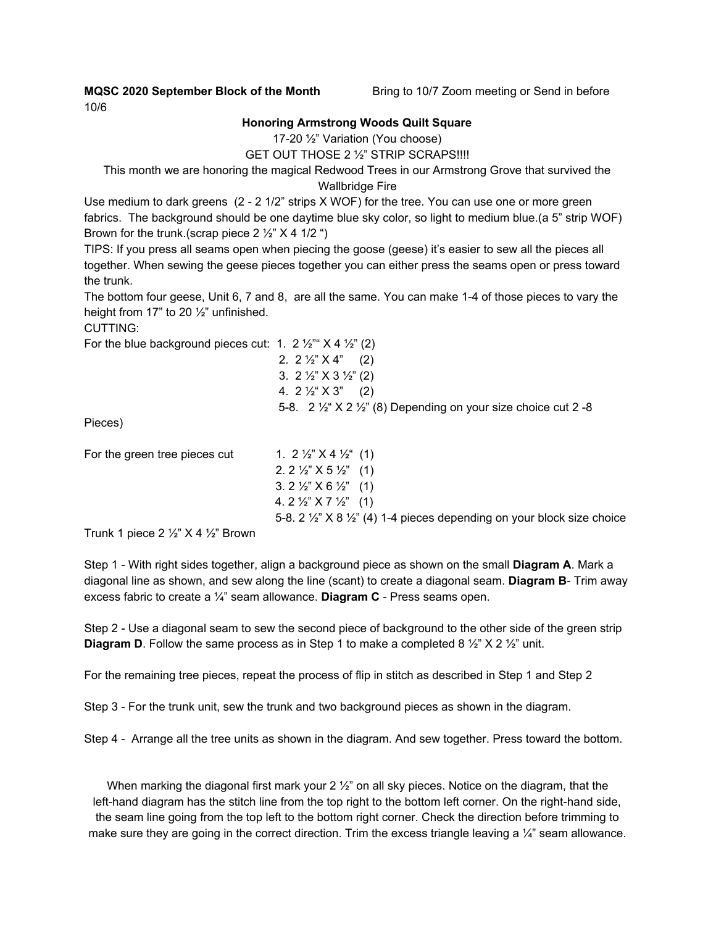**MQSC 2020 September Block of the Month** Bring to 10/7 Zoom meeting or Send in before

10/6

## **Honoring Armstrong Woods Quilt Square**

17-20 ½" Variation (You choose)

GET OUT THOSE 2 ½" STRIP SCRAPS!!!!

This month we are honoring the magical Redwood Trees in our Armstrong Grove that survived the Wallbridge Fire

Use medium to dark greens (2 - 2 1/2" strips X WOF) for the tree. You can use one or more green fabrics. The background should be one daytime blue sky color, so light to medium blue.(a 5" strip WOF) Brown for the trunk.(scrap piece  $2\frac{1}{2}$   $\times$  4 1/2  $\degree$ )

TIPS: If you press all seams open when piecing the goose (geese) it's easier to sew all the pieces all together. When sewing the geese pieces together you can either press the seams open or press toward the trunk.

The bottom four geese, Unit 6, 7 and 8, are all the same. You can make 1-4 of those pieces to vary the height from 17" to 20 ½" unfinished.

CUTTING:

For the blue background pieces cut: 1. 2  $\frac{1}{2}$   $\frac{1}{2}$   $\frac{1}{2}$   $\frac{1}{2}$   $\frac{1}{2}$   $\frac{1}{2}$   $\frac{1}{2}$ 

2.  $2\frac{1}{2}$   $\times$   $4$ " (2) 3. 2 ½" X 3 ½" (2) 4.  $2\frac{1}{2}$   $\times$   $3$ " (2) 5-8.  $2 \frac{1}{2}$   $\times$   $2 \frac{1}{2}$   $\times$   $(8)$  Depending on your size choice cut 2 -8

Pieces)

| For the green tree pieces cut                                                                                       | 1. $2\frac{1}{2}$ $\times$ $4\frac{1}{2}$ (1)                                                  |
|---------------------------------------------------------------------------------------------------------------------|------------------------------------------------------------------------------------------------|
|                                                                                                                     | 2. 2 $\frac{1}{2}$ $\times$ 5 $\frac{1}{2}$ (1)                                                |
|                                                                                                                     | $3.2\frac{1}{2}$ $\times$ $8\frac{1}{2}$ $(1)$                                                 |
|                                                                                                                     | 4. $2\frac{1}{2}$ $\times$ $7\frac{1}{2}$ (1)                                                  |
|                                                                                                                     | 5-8. $2\frac{1}{2}$ $\times$ $8\frac{1}{2}$ (4) 1-4 pieces depending on your block size choice |
| $T_{\text{right}}$ 1 $\mu$ 2 $\alpha$ 2 $\alpha$ $\beta$ $\beta$ $\gamma$ $\gamma$ $\gamma$ $\beta$ $\beta$ $\beta$ |                                                                                                |

Trunk 1 piece 2  $\frac{1}{2}$ " X 4  $\frac{1}{2}$ " Brown

Step 1 - With right sides together, align a background piece as shown on the small **Diagram A**. Mark a diagonal line as shown, and sew along the line (scant) to create a diagonal seam. **Diagram B**- Trim away excess fabric to create a ¼" seam allowance. **Diagram C** - Press seams open.

Step 2 - Use a diagonal seam to sew the second piece of background to the other side of the green strip **Diagram D**. Follow the same process as in Step 1 to make a completed 8  $\frac{1}{2}$  X 2  $\frac{1}{2}$  unit.

For the remaining tree pieces, repeat the process of flip in stitch as described in Step 1 and Step 2

Step 3 - For the trunk unit, sew the trunk and two background pieces as shown in the diagram.

Step 4 - Arrange all the tree units as shown in the diagram. And sew together. Press toward the bottom.

When marking the diagonal first mark your  $2\frac{1}{2}$  on all sky pieces. Notice on the diagram, that the left-hand diagram has the stitch line from the top right to the bottom left corner. On the right-hand side, the seam line going from the top left to the bottom right corner. Check the direction before trimming to make sure they are going in the correct direction. Trim the excess triangle leaving a  $\frac{1}{4}$ " seam allowance.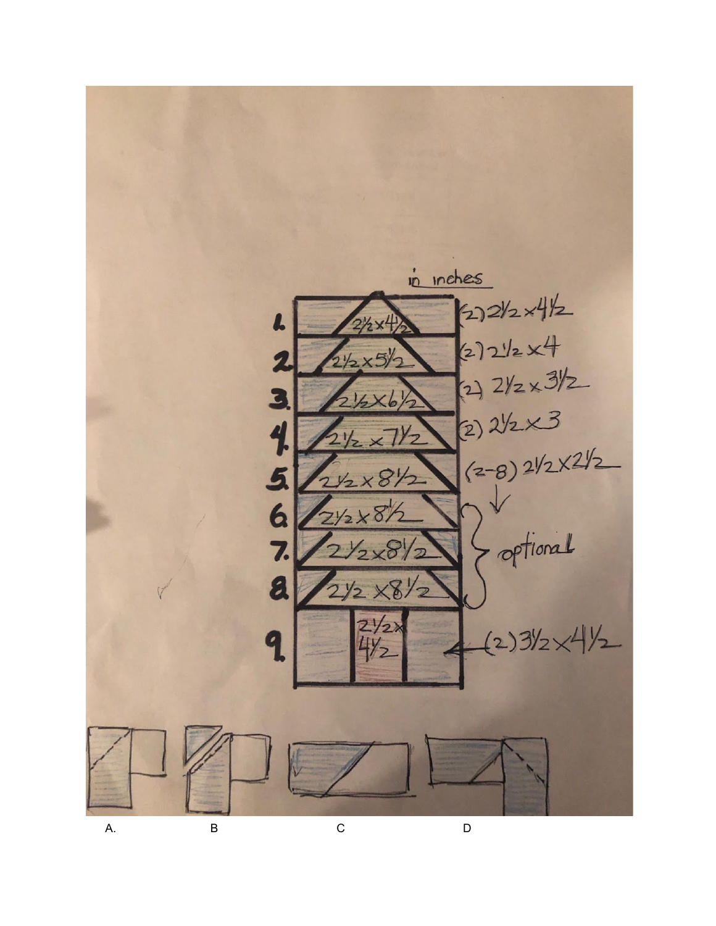

A.

 $\mathsf{C}$ 

 $\overline{D}$